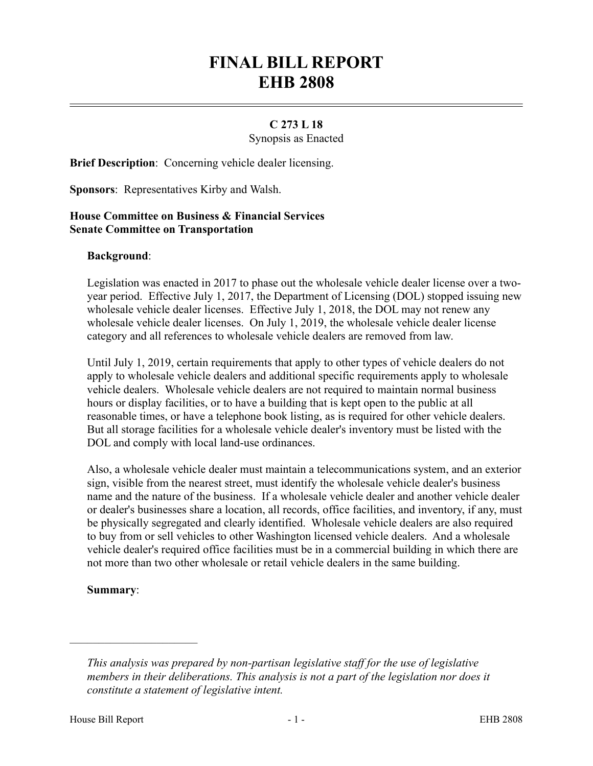# **FINAL BILL REPORT EHB 2808**

## **C 273 L 18**

Synopsis as Enacted

**Brief Description**: Concerning vehicle dealer licensing.

**Sponsors**: Representatives Kirby and Walsh.

## **House Committee on Business & Financial Services Senate Committee on Transportation**

#### **Background**:

Legislation was enacted in 2017 to phase out the wholesale vehicle dealer license over a twoyear period. Effective July 1, 2017, the Department of Licensing (DOL) stopped issuing new wholesale vehicle dealer licenses. Effective July 1, 2018, the DOL may not renew any wholesale vehicle dealer licenses. On July 1, 2019, the wholesale vehicle dealer license category and all references to wholesale vehicle dealers are removed from law.

Until July 1, 2019, certain requirements that apply to other types of vehicle dealers do not apply to wholesale vehicle dealers and additional specific requirements apply to wholesale vehicle dealers. Wholesale vehicle dealers are not required to maintain normal business hours or display facilities, or to have a building that is kept open to the public at all reasonable times, or have a telephone book listing, as is required for other vehicle dealers. But all storage facilities for a wholesale vehicle dealer's inventory must be listed with the DOL and comply with local land-use ordinances.

Also, a wholesale vehicle dealer must maintain a telecommunications system, and an exterior sign, visible from the nearest street, must identify the wholesale vehicle dealer's business name and the nature of the business. If a wholesale vehicle dealer and another vehicle dealer or dealer's businesses share a location, all records, office facilities, and inventory, if any, must be physically segregated and clearly identified. Wholesale vehicle dealers are also required to buy from or sell vehicles to other Washington licensed vehicle dealers. And a wholesale vehicle dealer's required office facilities must be in a commercial building in which there are not more than two other wholesale or retail vehicle dealers in the same building.

## **Summary**:

––––––––––––––––––––––

*This analysis was prepared by non-partisan legislative staff for the use of legislative members in their deliberations. This analysis is not a part of the legislation nor does it constitute a statement of legislative intent.*